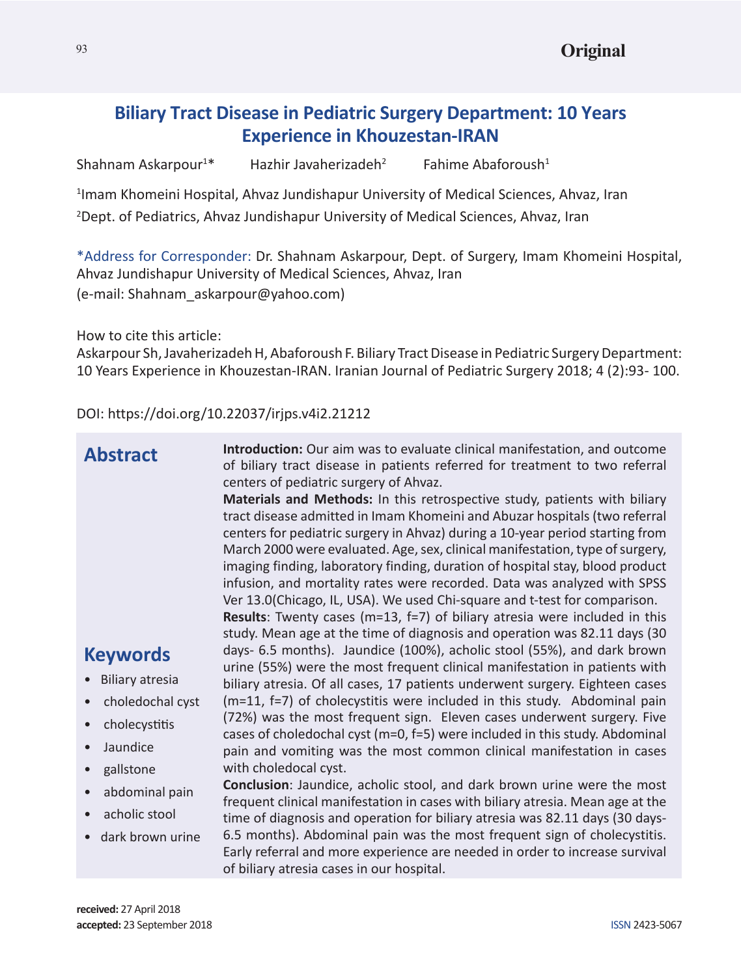# **Biliary Tract Disease in Pediatric Surgery Department: 10 Years Experience in Khouzestan-IRAN**

Shahnam Askarpour<sup>1\*</sup> Hazhir Javaherizadeh<sup>2</sup> Fahime Abaforoush<sup>1</sup>

<sup>1</sup>Imam Khomeini Hospital, Ahvaz Jundishapur University of Medical Sciences, Ahvaz, Iran 2 Dept. of Pediatrics, Ahvaz Jundishapur University of Medical Sciences, Ahvaz, Iran

\*Address for Corresponder: Dr. Shahnam Askarpour, Dept. of Surgery, Imam Khomeini Hospital, Ahvaz Jundishapur University of Medical Sciences, Ahvaz, Iran (e-mail: Shahnam\_askarpour@yahoo.com)

How to cite this article:

Askarpour Sh, Javaherizadeh H, Abaforoush F. Biliary Tract Disease in Pediatric Surgery Department: 10 Years Experience in Khouzestan-IRAN. Iranian Journal of Pediatric Surgery 2018; 4 (2):93- 100.

DOI: https://doi.org/10.22037/irjps.v4i2.21212

| centers for pediatric surgery in Ahvaz) during a 10-year period starting from<br>March 2000 were evaluated. Age, sex, clinical manifestation, type of surgery,<br>imaging finding, laboratory finding, duration of hospital stay, blood product<br>infusion, and mortality rates were recorded. Data was analyzed with SPSS<br>Ver 13.0(Chicago, IL, USA). We used Chi-square and t-test for comparison.<br><b>Results:</b> Twenty cases ( $m=13$ , $f=7$ ) of biliary atresia were included in this<br>study. Mean age at the time of diagnosis and operation was 82.11 days (30<br>days- 6.5 months). Jaundice (100%), acholic stool (55%), and dark brown<br><b>Keywords</b><br>urine (55%) were the most frequent clinical manifestation in patients with<br><b>Biliary atresia</b><br>biliary atresia. Of all cases, 17 patients underwent surgery. Eighteen cases<br>(m=11, f=7) of cholecystitis were included in this study. Abdominal pain<br>choledochal cyst<br>(72%) was the most frequent sign. Eleven cases underwent surgery. Five<br>cholecystitis<br>$\bullet$<br>cases of choledochal cyst (m=0, f=5) were included in this study. Abdominal<br>Jaundice<br>$\bullet$<br>pain and vomiting was the most common clinical manifestation in cases<br>with choledocal cyst.<br>gallstone<br>$\bullet$<br><b>Conclusion:</b> Jaundice, acholic stool, and dark brown urine were the most<br>abdominal pain<br>$\bullet$<br>frequent clinical manifestation in cases with biliary atresia. Mean age at the<br>acholic stool<br>time of diagnosis and operation for biliary atresia was 82.11 days (30 days-<br>6.5 months). Abdominal pain was the most frequent sign of cholecystitis.<br>dark brown urine<br>Early referral and more experience are needed in order to increase survival |
|--------------------------------------------------------------------------------------------------------------------------------------------------------------------------------------------------------------------------------------------------------------------------------------------------------------------------------------------------------------------------------------------------------------------------------------------------------------------------------------------------------------------------------------------------------------------------------------------------------------------------------------------------------------------------------------------------------------------------------------------------------------------------------------------------------------------------------------------------------------------------------------------------------------------------------------------------------------------------------------------------------------------------------------------------------------------------------------------------------------------------------------------------------------------------------------------------------------------------------------------------------------------------------------------------------------------------------------------------------------------------------------------------------------------------------------------------------------------------------------------------------------------------------------------------------------------------------------------------------------------------------------------------------------------------------------------------------------------------------------------------------------------------------------------------------|
| of biliary atresia cases in our hospital.                                                                                                                                                                                                                                                                                                                                                                                                                                                                                                                                                                                                                                                                                                                                                                                                                                                                                                                                                                                                                                                                                                                                                                                                                                                                                                                                                                                                                                                                                                                                                                                                                                                                                                                                                              |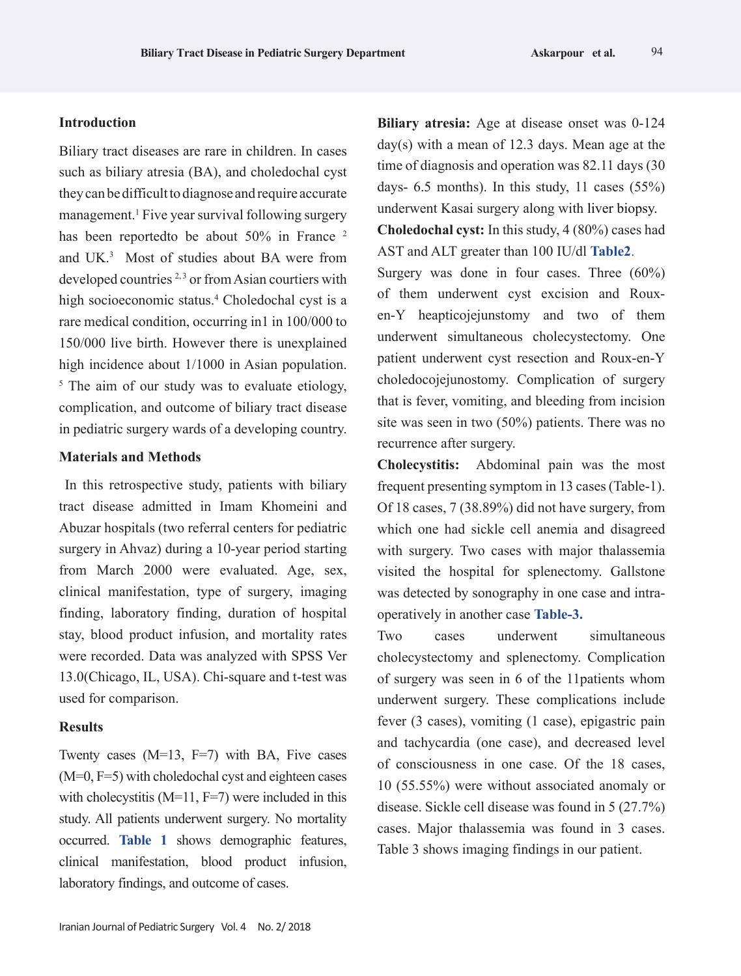# **Introduction**

Biliary tract diseases are rare in children. In cases such as biliary atresia (BA), and choledochal cyst they can be difficult to diagnose and require accurate management.<sup>1</sup> Five year survival following surgery has been reportedto be about 50% in France<sup>2</sup> and UK.3 Most of studies about BA were from developed countries  $2,3$  or from Asian courtiers with high socioeconomic status.<sup>4</sup> Choledochal cyst is a rare medical condition, occurring in1 in 100/000 to 150/000 live birth. However there is unexplained high incidence about 1/1000 in Asian population. <sup>5</sup> The aim of our study was to evaluate etiology, complication, and outcome of biliary tract disease in pediatric surgery wards of a developing country.

## **Materials and Methods**

In this retrospective study, patients with biliary tract disease admitted in Imam Khomeini and Abuzar hospitals (two referral centers for pediatric surgery in Ahvaz) during a 10-year period starting from March 2000 were evaluated. Age, sex, clinical manifestation, type of surgery, imaging finding, laboratory finding, duration of hospital stay, blood product infusion, and mortality rates were recorded. Data was analyzed with SPSS Ver 13.0(Chicago, IL, USA). Chi-square and t-test was used for comparison.

# **Results**

Twenty cases (M=13, F=7) with BA, Five cases (M=0, F=5) with choledochal cyst and eighteen cases with cholecystitis ( $M=11$ ,  $F=7$ ) were included in this study. All patients underwent surgery. No mortality occurred. **Table 1** shows demographic features, clinical manifestation, blood product infusion, laboratory findings, and outcome of cases.

**Biliary atresia:** Age at disease onset was 0-124 day(s) with a mean of 12.3 days. Mean age at the time of diagnosis and operation was 82.11 days (30 days- 6.5 months). In this study, 11 cases  $(55\%)$ underwent Kasai surgery along with liver biopsy. **Choledochal cyst:** In this study, 4 (80%) cases had

AST and ALT greater than 100 IU/dl **Table2**.

Surgery was done in four cases. Three (60%) of them underwent cyst excision and Rouxen-Y heapticojejunstomy and two of them underwent simultaneous cholecystectomy. One patient underwent cyst resection and Roux-en-Y choledocojejunostomy. Complication of surgery that is fever, vomiting, and bleeding from incision site was seen in two (50%) patients. There was no recurrence after surgery.

**Cholecystitis:** Abdominal pain was the most frequent presenting symptom in 13 cases (Table-1). Of 18 cases, 7 (38.89%) did not have surgery, from which one had sickle cell anemia and disagreed with surgery. Two cases with major thalassemia visited the hospital for splenectomy. Gallstone was detected by sonography in one case and intraoperatively in another case **Table-3.**

Two cases underwent simultaneous cholecystectomy and splenectomy. Complication of surgery was seen in 6 of the 11patients whom underwent surgery. These complications include fever (3 cases), vomiting (1 case), epigastric pain and tachycardia (one case), and decreased level of consciousness in one case. Of the 18 cases, 10 (55.55%) were without associated anomaly or disease. Sickle cell disease was found in 5 (27.7%) cases. Major thalassemia was found in 3 cases. Table 3 shows imaging findings in our patient.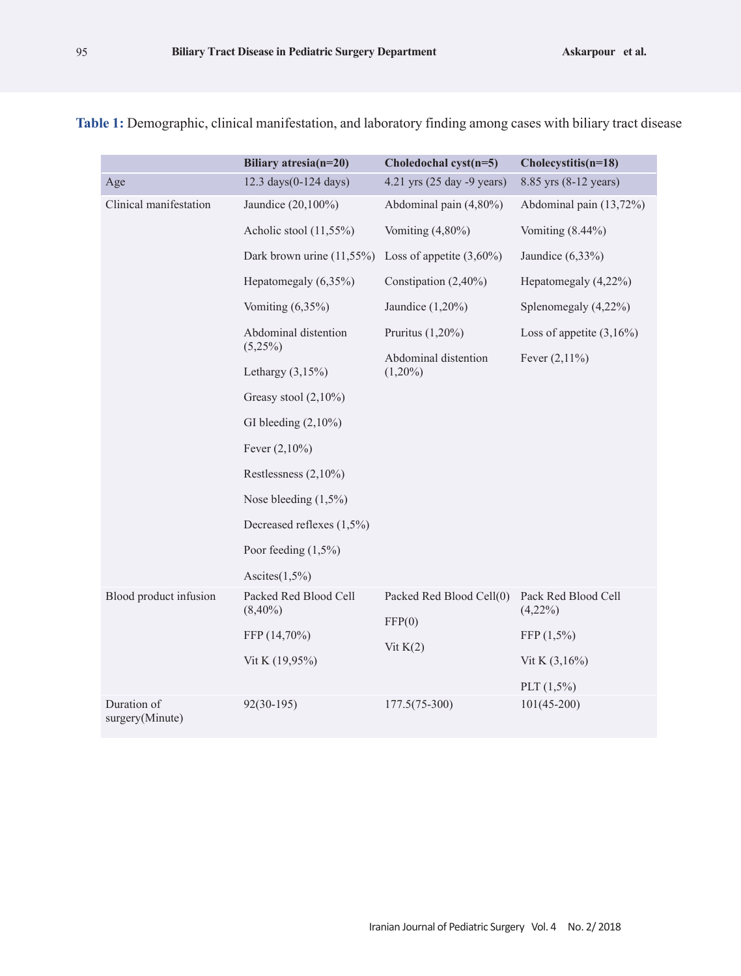|                                | Biliary atresia(n=20)               | Choledochal cyst(n=5)                            | Cholecystitis(n=18)               |
|--------------------------------|-------------------------------------|--------------------------------------------------|-----------------------------------|
| Age                            | 12.3 days(0-124 days)               | 4.21 yrs (25 day -9 years)                       | 8.85 yrs (8-12 years)             |
| Clinical manifestation         | Jaundice (20,100%)                  | Abdominal pain $(4,80\%)$                        | Abdominal pain (13,72%)           |
|                                | Acholic stool $(11,55\%)$           | Vomiting $(4,80\%)$                              | Vomiting $(8.44\%)$               |
|                                | Dark brown urine $(11,55\%)$        | Loss of appetite $(3,60\%)$                      | Jaundice $(6,33\%)$               |
|                                | Hepatomegaly $(6,35\%)$             | Constipation $(2,40\%)$                          | Hepatomegaly (4,22%)              |
|                                | Vomiting $(6,35\%)$                 | Jaundice $(1,20\%)$                              | Splenomegaly (4,22%)              |
|                                | Abdominal distention                | Pruritus $(1,20\%)$                              | Loss of appetite $(3,16\%)$       |
|                                | $(5,25\%)$<br>Lethargy $(3,15\%)$   | Abdominal distention<br>$(1,20\%)$               | Fever $(2,11\%)$                  |
|                                | Greasy stool $(2,10\%)$             |                                                  |                                   |
|                                | GI bleeding $(2,10\%)$              |                                                  |                                   |
|                                | Fever $(2,10\%)$                    |                                                  |                                   |
|                                | Restlessness $(2,10\%)$             |                                                  |                                   |
|                                | Nose bleeding $(1,5\%)$             |                                                  |                                   |
|                                | Decreased reflexes (1,5%)           |                                                  |                                   |
|                                | Poor feeding $(1,5\%)$              |                                                  |                                   |
|                                | Ascites $(1,5\%)$                   |                                                  |                                   |
| Blood product infusion         | Packed Red Blood Cell<br>$(8,40\%)$ | Packed Red Blood Cell(0)<br>FFP(0)<br>Vit $K(2)$ | Pack Red Blood Cell<br>$(4,22\%)$ |
|                                | FFP (14,70%)                        |                                                  | $FFP(1,5\%)$                      |
|                                | Vit K (19,95%)                      |                                                  | Vit K $(3,16\%)$                  |
|                                |                                     |                                                  | PLT $(1,5\%)$                     |
| Duration of<br>surgery(Minute) | $92(30-195)$                        | $177.5(75-300)$                                  | $101(45-200)$                     |

**Table 1:** Demographic, clinical manifestation, and laboratory finding among cases with biliary tract disease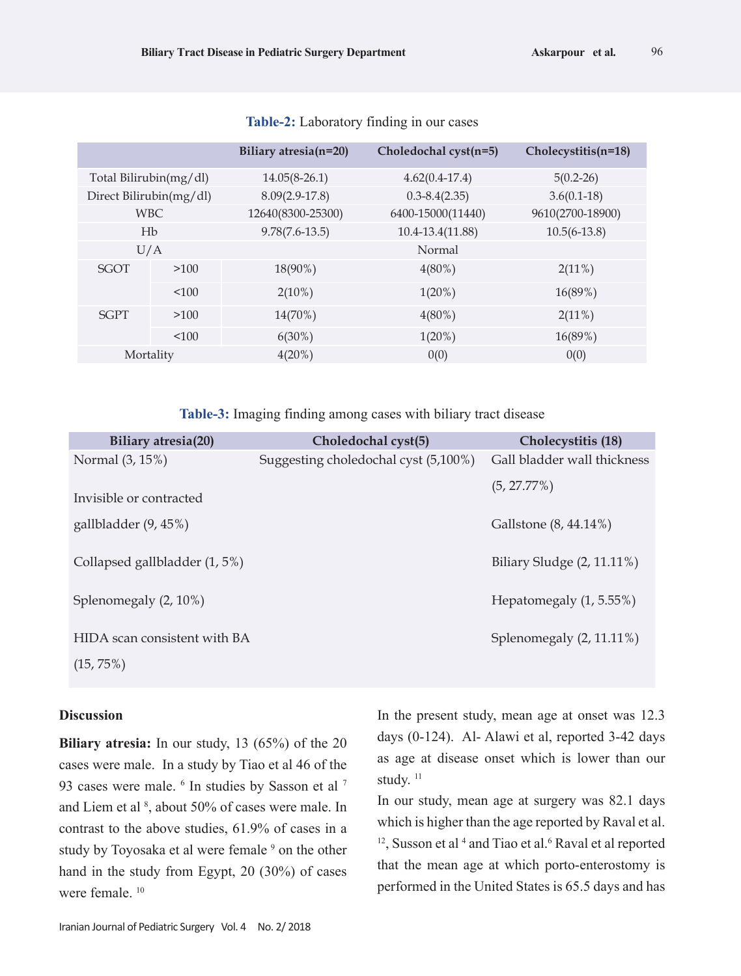|                         |       | Biliary atresia(n=20) | Choledochal cyst(n=5) | Cholecystitis(n=18) |
|-------------------------|-------|-----------------------|-----------------------|---------------------|
| Total Bilirubin(mg/dl)  |       | $14.05(8-26.1)$       | $4.62(0.4-17.4)$      | $5(0.2-26)$         |
| Direct Bilirubin(mg/dl) |       | $8.09(2.9-17.8)$      | $0.3 - 8.4(2.35)$     | $3.6(0.1-18)$       |
| <b>WBC</b>              |       | 12640(8300-25300)     | 6400-15000(11440)     | 9610(2700-18900)    |
| Hb                      |       | $9.78(7.6-13.5)$      | 10.4-13.4(11.88)      | $10.5(6-13.8)$      |
| U/A                     |       |                       | Normal                |                     |
| <b>SGOT</b>             | >100  | 18(90%)               | $4(80\%)$             | $2(11\%)$           |
|                         | < 100 | $2(10\%)$             | $1(20\%)$             | 16(89%)             |
| <b>SGPT</b>             | >100  | $14(70\%)$            | $4(80\%)$             | 2(11%)              |
|                         | < 100 | $6(30\%)$             | $1(20\%)$             | 16(89%)             |
| Mortality               |       | $4(20\%)$             | 0(0)                  | 0(0)                |

#### **Table-2:** Laboratory finding in our cases

**Table-3:** Imaging finding among cases with biliary tract disease

| <b>Biliary atresia(20)</b>                   | Choledochal cyst(5)                  | Cholecystitis (18)            |
|----------------------------------------------|--------------------------------------|-------------------------------|
| Normal (3, 15%)                              | Suggesting choledochal cyst (5,100%) | Gall bladder wall thickness   |
| Invisible or contracted                      |                                      | $(5, 27.77\%)$                |
| gallbladder (9, 45%)                         |                                      | Gallstone (8, 44.14%)         |
| Collapsed gallbladder (1, 5%)                |                                      | Biliary Sludge $(2, 11.11\%)$ |
| Splenomegaly (2, 10%)                        |                                      | Hepatomegaly $(1, 5.55\%)$    |
| HIDA scan consistent with BA<br>$(15, 75\%)$ |                                      | Splenomegaly (2, 11.11%)      |
|                                              |                                      |                               |

## **Discussion**

**Biliary atresia:** In our study, 13 (65%) of the 20 cases were male. In a study by Tiao et al 46 of the 93 cases were male. <sup>6</sup> In studies by Sasson et al <sup>7</sup> and Liem et al <sup>8</sup>, about 50% of cases were male. In contrast to the above studies, 61.9% of cases in a study by Toyosaka et al were female <sup>9</sup> on the other hand in the study from Egypt, 20 (30%) of cases were female. 10

Iranian Journal of Pediatric Surgery Vol. 4 No. 2/ 2018

In the present study, mean age at onset was 12.3 days (0-124). Al- Alawi et al, reported 3-42 days as age at disease onset which is lower than our study.<sup>11</sup>

In our study, mean age at surgery was 82.1 days which is higher than the age reported by Raval et al.  $12$ , Susson et al  $4$  and Tiao et al. $6$  Raval et al reported that the mean age at which porto-enterostomy is performed in the United States is 65.5 days and has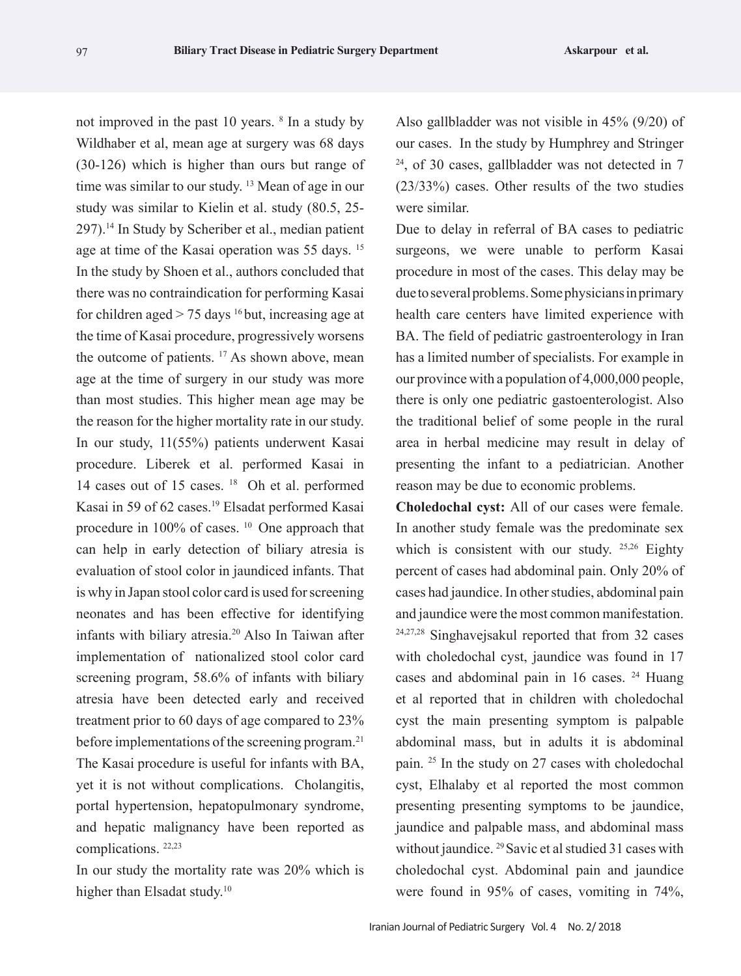not improved in the past 10 years. 8 In a study by Wildhaber et al, mean age at surgery was 68 days (30-126) which is higher than ours but range of time was similar to our study. 13 Mean of age in our study was similar to Kielin et al. study (80.5, 25- 297).14 In Study by Scheriber et al., median patient age at time of the Kasai operation was 55 days. 15 In the study by Shoen et al., authors concluded that there was no contraindication for performing Kasai for children aged  $> 75$  days <sup>16</sup> but, increasing age at the time of Kasai procedure, progressively worsens the outcome of patients. <sup>17</sup> As shown above, mean age at the time of surgery in our study was more than most studies. This higher mean age may be the reason for the higher mortality rate in our study. In our study, 11(55%) patients underwent Kasai procedure. Liberek et al. performed Kasai in 14 cases out of 15 cases. 18 Oh et al. performed Kasai in 59 of 62 cases.<sup>19</sup> Elsadat performed Kasai procedure in 100% of cases. 10 One approach that can help in early detection of biliary atresia is evaluation of stool color in jaundiced infants. That is why in Japan stool color card is used for screening neonates and has been effective for identifying infants with biliary atresia.20 Also In Taiwan after implementation of nationalized stool color card screening program, 58.6% of infants with biliary atresia have been detected early and received treatment prior to 60 days of age compared to 23% before implementations of the screening program.<sup>21</sup> The Kasai procedure is useful for infants with BA, yet it is not without complications. Cholangitis, portal hypertension, hepatopulmonary syndrome, and hepatic malignancy have been reported as complications. 22,23

In our study the mortality rate was 20% which is higher than Elsadat study.<sup>10</sup>

Also gallbladder was not visible in 45% (9/20) of our cases. In the study by Humphrey and Stringer  $24$ , of 30 cases, gallbladder was not detected in 7 (23/33%) cases. Other results of the two studies were similar.

Due to delay in referral of BA cases to pediatric surgeons, we were unable to perform Kasai procedure in most of the cases. This delay may be due to several problems. Some physicians in primary health care centers have limited experience with BA. The field of pediatric gastroenterology in Iran has a limited number of specialists. For example in our province with a population of 4,000,000 people, there is only one pediatric gastoenterologist. Also the traditional belief of some people in the rural area in herbal medicine may result in delay of presenting the infant to a pediatrician. Another reason may be due to economic problems.

**Choledochal cyst:** All of our cases were female. In another study female was the predominate sex which is consistent with our study. <sup>25,26</sup> Eighty percent of cases had abdominal pain. Only 20% of cases had jaundice. In other studies, abdominal pain and jaundice were the most common manifestation. 24,27,28 Singhavejsakul reported that from 32 cases with choledochal cyst, jaundice was found in 17 cases and abdominal pain in 16 cases. 24 Huang et al reported that in children with choledochal cyst the main presenting symptom is palpable abdominal mass, but in adults it is abdominal pain. 25 In the study on 27 cases with choledochal cyst, Elhalaby et al reported the most common presenting presenting symptoms to be jaundice, jaundice and palpable mass, and abdominal mass without jaundice. <sup>29</sup> Savic et al studied 31 cases with choledochal cyst. Abdominal pain and jaundice were found in 95% of cases, vomiting in 74%,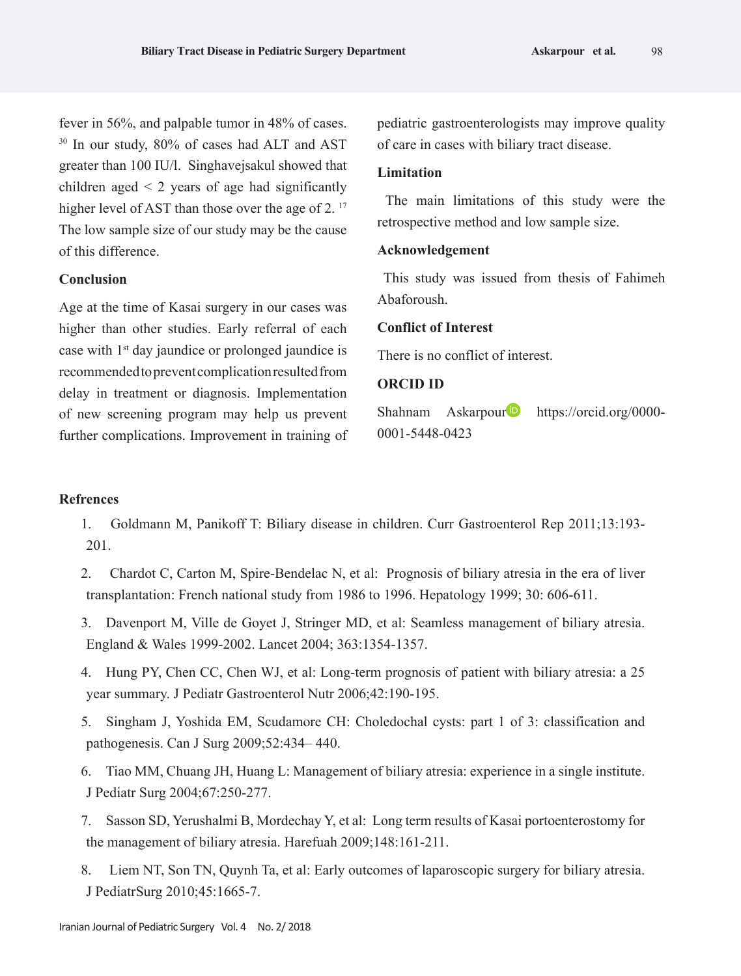fever in 56%, and palpable tumor in 48% of cases. <sup>30</sup> In our study, 80% of cases had ALT and AST greater than 100 IU/l. Singhavejsakul showed that children aged  $\leq$  2 years of age had significantly higher level of AST than those over the age of 2.<sup>17</sup> The low sample size of our study may be the cause of this difference.

# **Conclusion**

Age at the time of Kasai surgery in our cases was higher than other studies. Early referral of each case with 1st day jaundice or prolonged jaundice is recommended to prevent complication resulted from delay in treatment or diagnosis. Implementation of new screening program may help us prevent further complications. Improvement in training of pediatric gastroenterologists may improve quality of care in cases with biliary tract disease.

## **Limitation**

 The main limitations of this study were the retrospective method and low sample size.

## **Acknowledgement**

 This study was issued from thesis of Fahimeh Abaforoush.

## **Conflict of Interest**

There is no conflict of interest.

# **ORCID ID**

Shahnam Askarpour https://orcid.org/0000-0001-5448-0423

# **Refrences**

- 1. Goldmann M, Panikoff T: Biliary disease in children. Curr Gastroenterol Rep 2011;13:193- 201.
- 2. Chardot C, Carton M, Spire-Bendelac N, et al: Prognosis of biliary atresia in the era of liver transplantation: French national study from 1986 to 1996. Hepatology 1999; 30: 606-611.
- 3. Davenport M, Ville de Goyet J, Stringer MD, et al: Seamless management of biliary atresia. England & Wales 1999-2002. Lancet 2004; 363:1354-1357.
- 4. Hung PY, Chen CC, Chen WJ, et al: Long-term prognosis of patient with biliary atresia: a 25 year summary. J Pediatr Gastroenterol Nutr 2006;42:190-195.
- 5. Singham J, Yoshida EM, Scudamore CH: Choledochal cysts: part 1 of 3: classification and pathogenesis. Can J Surg 2009;52:434– 440.
- 6. Tiao MM, Chuang JH, Huang L: Management of biliary atresia: experience in a single institute. J Pediatr Surg 2004;67:250-277.
- 7. Sasson SD, Yerushalmi B, Mordechay Y, et al: Long term results of Kasai portoenterostomy for the management of biliary atresia. Harefuah 2009;148:161-211.
- 8. Liem NT, Son TN, Quynh Ta, et al: Early outcomes of laparoscopic surgery for biliary atresia. J PediatrSurg 2010;45:1665-7.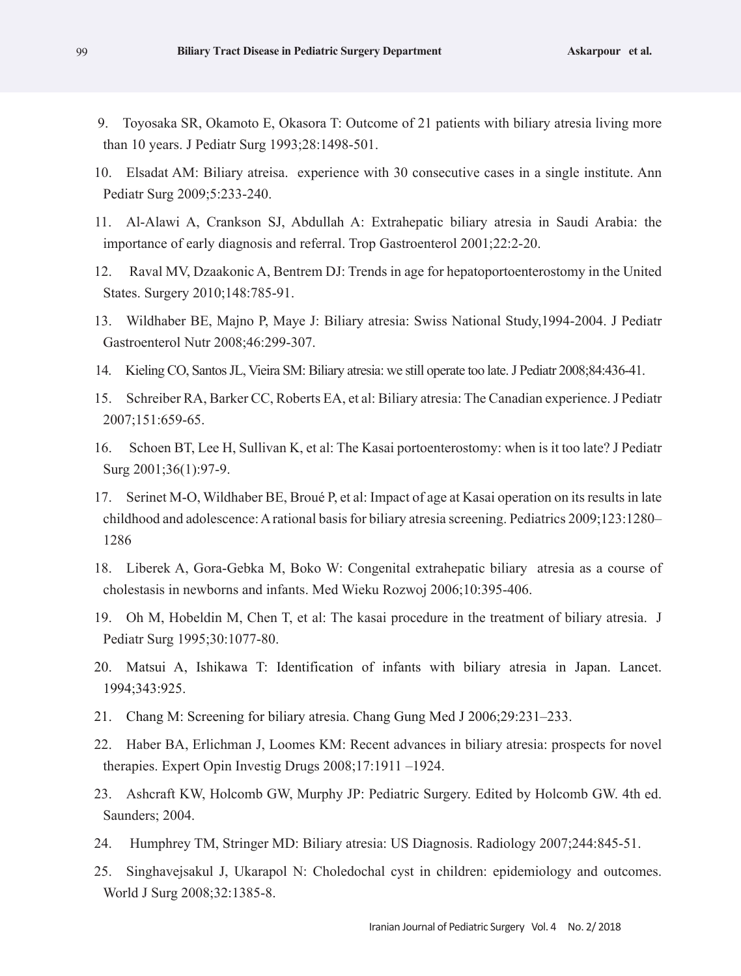- 9. Toyosaka SR, Okamoto E, Okasora T: Outcome of 21 patients with biliary atresia living more than 10 years. J Pediatr Surg 1993;28:1498-501.
- 10. Elsadat AM: Biliary atreisa. experience with 30 consecutive cases in a single institute. Ann Pediatr Surg 2009;5:233-240.
- 11. Al-Alawi A, Crankson SJ, Abdullah A: Extrahepatic biliary atresia in Saudi Arabia: the importance of early diagnosis and referral. Trop Gastroenterol 2001;22:2-20.
- 12. Raval MV, Dzaakonic A, Bentrem DJ: Trends in age for hepatoportoenterostomy in the United States. Surgery 2010;148:785-91.
- 13. Wildhaber BE, Majno P, Maye J: Biliary atresia: Swiss National Study,1994-2004. J Pediatr Gastroenterol Nutr 2008;46:299-307.
- 14. Kieling CO, Santos JL, Vieira SM: Biliary atresia: we still operate too late. J Pediatr 2008;84:436-41.
- 15. Schreiber RA, Barker CC, Roberts EA, et al: Biliary atresia: The Canadian experience. J Pediatr 2007;151:659-65.
- 16. Schoen BT, Lee H, Sullivan K, et al: The Kasai portoenterostomy: when is it too late? J Pediatr Surg 2001;36(1):97-9.
- 17. Serinet M-O, Wildhaber BE, Broué P, et al: Impact of age at Kasai operation on its results in late childhood and adolescence: A rational basis for biliary atresia screening. Pediatrics 2009;123:1280– 1286
- 18. Liberek A, Gora-Gebka M, Boko W: Congenital extrahepatic biliary atresia as a course of cholestasis in newborns and infants. Med Wieku Rozwoj 2006;10:395-406.
- 19. Oh M, Hobeldin M, Chen T, et al: The kasai procedure in the treatment of biliary atresia. J Pediatr Surg 1995;30:1077-80.
- 20. Matsui A, Ishikawa T: Identification of infants with biliary atresia in Japan. Lancet. 1994;343:925.
- 21. Chang M: Screening for biliary atresia. Chang Gung Med J 2006;29:231–233.
- 22. Haber BA, Erlichman J, Loomes KM: Recent advances in biliary atresia: prospects for novel therapies. Expert Opin Investig Drugs 2008;17:1911 –1924.
- 23. Ashcraft KW, Holcomb GW, Murphy JP: Pediatric Surgery. Edited by Holcomb GW. 4th ed. Saunders; 2004.
- 24. Humphrey TM, Stringer MD: Biliary atresia: US Diagnosis. Radiology 2007;244:845-51.
- 25. Singhavejsakul J, Ukarapol N: Choledochal cyst in children: epidemiology and outcomes. World J Surg 2008;32:1385-8.